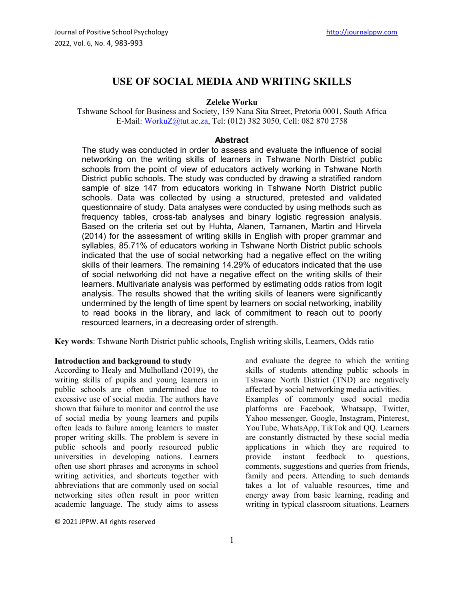# **USE OF SOCIAL MEDIA AND WRITING SKILLS**

#### **Zeleke Worku**

Tshwane School for Business and Society, 159 Nana Sita Street, Pretoria 0001, South Africa E-Mail: [WorkuZ@tut.ac.za,](mailto:WorkuZ@tut.ac.za) Tel: (012) 382 3050, Cell: 082 870 2758

#### **Abstract**

The study was conducted in order to assess and evaluate the influence of social networking on the writing skills of learners in Tshwane North District public schools from the point of view of educators actively working in Tshwane North District public schools. The study was conducted by drawing a stratified random sample of size 147 from educators working in Tshwane North District public schools. Data was collected by using a structured, pretested and validated questionnaire of study. Data analyses were conducted by using methods such as frequency tables, cross-tab analyses and binary logistic regression analysis. Based on the criteria set out by Huhta, Alanen, Tarnanen, Martin and Hirvela (2014) for the assessment of writing skills in English with proper grammar and syllables, 85.71% of educators working in Tshwane North District public schools indicated that the use of social networking had a negative effect on the writing skills of their learners. The remaining 14.29% of educators indicated that the use of social networking did not have a negative effect on the writing skills of their learners. Multivariate analysis was performed by estimating odds ratios from logit analysis. The results showed that the writing skills of leaners were significantly undermined by the length of time spent by learners on social networking, inability to read books in the library, and lack of commitment to reach out to poorly resourced learners, in a decreasing order of strength.

**Key words**: Tshwane North District public schools, English writing skills, Learners, Odds ratio

## **Introduction and background to study**

According to Healy and Mulholland (2019), the writing skills of pupils and young learners in public schools are often undermined due to excessive use of social media. The authors have shown that failure to monitor and control the use of social media by young learners and pupils often leads to failure among learners to master proper writing skills. The problem is severe in public schools and poorly resourced public universities in developing nations. Learners often use short phrases and acronyms in school writing activities, and shortcuts together with abbreviations that are commonly used on social networking sites often result in poor written academic language. The study aims to assess

© 2021 JPPW. All rights reserved

and evaluate the degree to which the writing skills of students attending public schools in Tshwane North District (TND) are negatively affected by social networking media activities. Examples of commonly used social media platforms are Facebook, Whatsapp, Twitter, Yahoo messenger, Google, Instagram, Pinterest, YouTube, WhatsApp, TikTok and QQ. Learners are constantly distracted by these social media applications in which they are required to provide instant feedback to questions, comments, suggestions and queries from friends, family and peers. Attending to such demands takes a lot of valuable resources, time and energy away from basic learning, reading and writing in typical classroom situations. Learners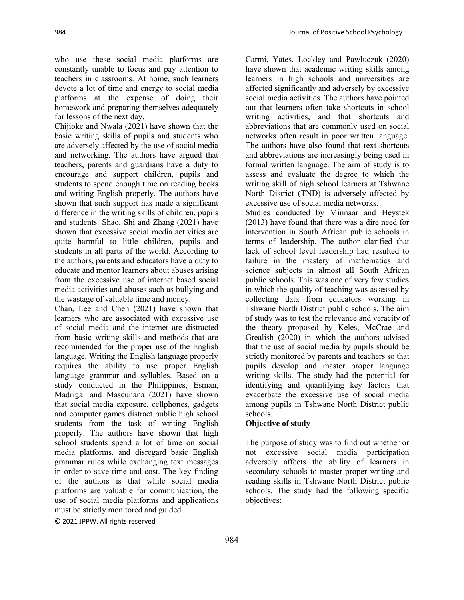who use these social media platforms are constantly unable to focus and pay attention to teachers in classrooms. At home, such learners devote a lot of time and energy to social media platforms at the expense of doing their homework and preparing themselves adequately for lessons of the next day.

Chijioke and Nwala (2021) have shown that the basic writing skills of pupils and students who are adversely affected by the use of social media and networking. The authors have argued that teachers, parents and guardians have a duty to encourage and support children, pupils and students to spend enough time on reading books and writing English properly. The authors have shown that such support has made a significant difference in the writing skills of children, pupils and students. Shao, Shi and Zhang (2021) have shown that excessive social media activities are quite harmful to little children, pupils and students in all parts of the world. According to the authors, parents and educators have a duty to educate and mentor learners about abuses arising from the excessive use of internet based social media activities and abuses such as bullying and the wastage of valuable time and money.

Chan, Lee and Chen (2021) have shown that learners who are associated with excessive use of social media and the internet are distracted from basic writing skills and methods that are recommended for the proper use of the English language. Writing the English language properly requires the ability to use proper English language grammar and syllables. Based on a study conducted in the Philippines, Esman, Madrigal and Mascunana (2021) have shown that social media exposure, cellphones, gadgets and computer games distract public high school students from the task of writing English properly. The authors have shown that high school students spend a lot of time on social media platforms, and disregard basic English grammar rules while exchanging text messages in order to save time and cost. The key finding of the authors is that while social media platforms are valuable for communication, the use of social media platforms and applications must be strictly monitored and guided.

© 2021 JPPW. All rights reserved

Carmi, Yates, Lockley and Pawluczuk (2020) have shown that academic writing skills among learners in high schools and universities are affected significantly and adversely by excessive social media activities. The authors have pointed out that learners often take shortcuts in school writing activities, and that shortcuts and abbreviations that are commonly used on social networks often result in poor written language. The authors have also found that text-shortcuts and abbreviations are increasingly being used in formal written language. The aim of study is to assess and evaluate the degree to which the writing skill of high school learners at Tshwane North District (TND) is adversely affected by excessive use of social media networks.

Studies conducted by Minnaar and Heystek (2013) have found that there was a dire need for intervention in South African public schools in terms of leadership. The author clarified that lack of school level leadership had resulted to failure in the mastery of mathematics and science subjects in almost all South African public schools. This was one of very few studies in which the quality of teaching was assessed by collecting data from educators working in Tshwane North District public schools. The aim of study was to test the relevance and veracity of the theory proposed by Keles, McCrae and Grealish (2020) in which the authors advised that the use of social media by pupils should be strictly monitored by parents and teachers so that pupils develop and master proper language writing skills. The study had the potential for identifying and quantifying key factors that exacerbate the excessive use of social media among pupils in Tshwane North District public schools.

#### **Objective of study**

The purpose of study was to find out whether or not excessive social media participation adversely affects the ability of learners in secondary schools to master proper writing and reading skills in Tshwane North District public schools. The study had the following specific objectives: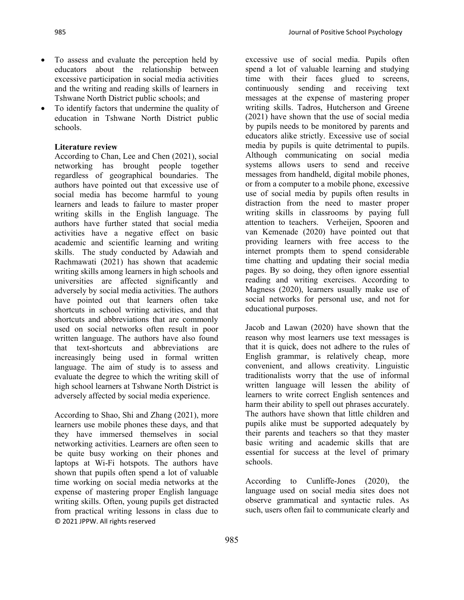- ∑ To assess and evaluate the perception held by educators about the relationship between excessive participation in social media activities and the writing and reading skills of learners in Tshwane North District public schools; and
- To identify factors that undermine the quality of education in Tshwane North District public schools.

### **Literature review**

According to Chan, Lee and Chen (2021), social networking has brought people together regardless of geographical boundaries. The authors have pointed out that excessive use of social media has become harmful to young learners and leads to failure to master proper writing skills in the English language. The authors have further stated that social media activities have a negative effect on basic academic and scientific learning and writing skills. The study conducted by Adawiah and Rachmawati (2021) has shown that academic writing skills among learners in high schools and universities are affected significantly and adversely by social media activities. The authors have pointed out that learners often take shortcuts in school writing activities, and that shortcuts and abbreviations that are commonly used on social networks often result in poor written language. The authors have also found that text-shortcuts and abbreviations are increasingly being used in formal written language. The aim of study is to assess and evaluate the degree to which the writing skill of high school learners at Tshwane North District is adversely affected by social media experience.

© 2021 JPPW. All rights reserved According to Shao, Shi and Zhang (2021), more learners use mobile phones these days, and that they have immersed themselves in social networking activities. Learners are often seen to be quite busy working on their phones and laptops at Wi-Fi hotspots. The authors have shown that pupils often spend a lot of valuable time working on social media networks at the expense of mastering proper English language writing skills. Often, young pupils get distracted from practical writing lessons in class due to

excessive use of social media. Pupils often spend a lot of valuable learning and studying time with their faces glued to screens, continuously sending and receiving text messages at the expense of mastering proper writing skills. Tadros, Hutcherson and Greene (2021) have shown that the use of social media by pupils needs to be monitored by parents and educators alike strictly. Excessive use of social media by pupils is quite detrimental to pupils. Although communicating on social media systems allows users to send and receive messages from handheld, digital mobile phones, or from a computer to a mobile phone, excessive use of social media by pupils often results in distraction from the need to master proper writing skills in classrooms by paying full attention to teachers. Verheijen, Spooren and van Kemenade (2020) have pointed out that providing learners with free access to the internet prompts them to spend considerable time chatting and updating their social media pages. By so doing, they often ignore essential reading and writing exercises. According to Magness (2020), learners usually make use of social networks for personal use, and not for educational purposes.

Jacob and Lawan (2020) have shown that the reason why most learners use text messages is that it is quick, does not adhere to the rules of English grammar, is relatively cheap, more convenient, and allows creativity. Linguistic traditionalists worry that the use of informal written language will lessen the ability of learners to write correct English sentences and harm their ability to spell out phrases accurately. The authors have shown that little children and pupils alike must be supported adequately by their parents and teachers so that they master basic writing and academic skills that are essential for success at the level of primary schools.

According to Cunliffe‐Jones (2020), the language used on social media sites does not observe grammatical and syntactic rules. As such, users often fail to communicate clearly and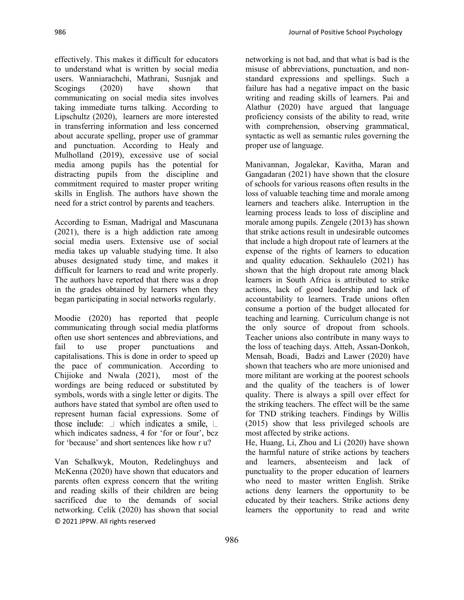effectively. This makes it difficult for educators to understand what is written by social media users. Wanniarachchi, Mathrani, Susnjak and Scogings (2020) have shown that communicating on social media sites involves taking immediate turns talking. According to Lipschultz (2020), learners are more interested in transferring information and less concerned about accurate spelling, proper use of grammar and punctuation. According to Healy and Mulholland (2019), excessive use of social media among pupils has the potential for distracting pupils from the discipline and commitment required to master proper writing skills in English. The authors have shown the need for a strict control by parents and teachers.

According to Esman, Madrigal and Mascunana (2021), there is a high addiction rate among social media users. Extensive use of social media takes up valuable studying time. It also abuses designated study time, and makes it difficult for learners to read and write properly. The authors have reported that there was a drop in the grades obtained by learners when they began participating in social networks regularly.

Moodie (2020) has reported that people communicating through social media platforms often use short sentences and abbreviations, and fail to use proper punctuations and capitalisations. This is done in order to speed up the pace of communication. According to Chijioke and Nwala (2021), most of the wordings are being reduced or substituted by symbols, words with a single letter or digits. The authors have stated that symbol are often used to represent human facial expressions. Some of those include:  $\perp$  which indicates a smile,  $\perp$ which indicates sadness, 4 for 'for or four', bcz for 'because' and short sentences like how r u?

© 2021 JPPW. All rights reserved Van Schalkwyk, Mouton, Redelinghuys and McKenna (2020) have shown that educators and parents often express concern that the writing and reading skills of their children are being sacrificed due to the demands of social networking. Celik (2020) has shown that social

networking is not bad, and that what is bad is the misuse of abbreviations, punctuation, and nonstandard expressions and spellings. Such a failure has had a negative impact on the basic writing and reading skills of learners. Pai and Alathur (2020) have argued that language proficiency consists of the ability to read, write with comprehension, observing grammatical, syntactic as well as semantic rules governing the proper use of language.

Manivannan, Jogalekar, Kavitha, Maran and Gangadaran (2021) have shown that the closure of schools for various reasons often results in the loss of valuable teaching time and morale among learners and teachers alike. Interruption in the learning process leads to loss of discipline and morale among pupils. Zengele (2013) has shown that strike actions result in undesirable outcomes that include a high dropout rate of learners at the expense of the rights of learners to education and quality education. Sekhaulelo (2021) has shown that the high dropout rate among black learners in South Africa is attributed to strike actions, lack of good leadership and lack of accountability to learners. Trade unions often consume a portion of the budget allocated for teaching and learning. Curriculum change is not the only source of dropout from schools. Teacher unions also contribute in many ways to the loss of teaching days. Atteh, Assan-Donkoh, Mensah, Boadi, Badzi and Lawer (2020) have shown that teachers who are more unionised and more militant are working at the poorest schools and the quality of the teachers is of lower quality. There is always a spill over effect for the striking teachers. The effect will be the same for TND striking teachers. Findings by Willis (2015) show that less privileged schools are most affected by strike actions.

He, Huang, Li, Zhou and Li (2020) have shown the harmful nature of strike actions by teachers and learners, absenteeism and lack of punctuality to the proper education of learners who need to master written English. Strike actions deny learners the opportunity to be educated by their teachers. Strike actions deny learners the opportunity to read and write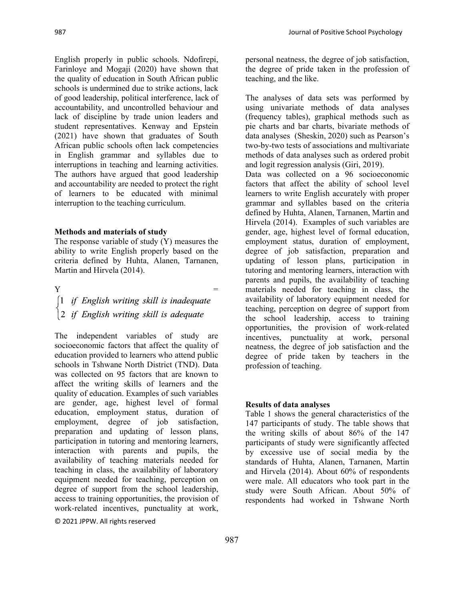English properly in public schools. Ndofirepi, Farinloye and Mogaji (2020) have shown that the quality of education in South African public schools is undermined due to strike actions, lack of good leadership, political interference, lack of accountability, and uncontrolled behaviour and lack of discipline by trade union leaders and student representatives. Kenway and Epstein (2021) have shown that graduates of South African public schools often lack competencies in English grammar and syllables due to interruptions in teaching and learning activities. The authors have argued that good leadership and accountability are needed to protect the right of learners to be educated with minimal interruption to the teaching curriculum.

#### **Methods and materials of study**

The response variable of study (Y) measures the ability to write English properly based on the criteria defined by Huhta, Alanen, Tarnanen, Martin and Hirvela (2014).

 $Y =$ 

The independent variables of study are socioeconomic factors that affect the quality of education provided to learners who attend public schools in Tshwane North District (TND). Data was collected on 95 factors that are known to affect the writing skills of learners and the quality of education. Examples of such variables are gender, age, highest level of formal education, employment status, duration of employment, degree of job satisfaction, preparation and updating of lesson plans, participation in tutoring and mentoring learners, interaction with parents and pupils, the availability of teaching materials needed for teaching in class, the availability of laboratory equipment needed for teaching, perception on degree of support from the school leadership, access to training opportunities, the provision of work-related incentives, punctuality at work,

© 2021 JPPW. All rights reserved

personal neatness, the degree of job satisfaction, the degree of pride taken in the profession of teaching, and the like.

The analyses of data sets was performed by using univariate methods of data analyses (frequency tables), graphical methods such as pie charts and bar charts, bivariate methods of data analyses (Sheskin, 2020) such as Pearson's two-by-two tests of associations and multivariate methods of data analyses such as ordered probit and logit regression analysis (Giri, 2019).

Data was collected on a 96 socioeconomic factors that affect the ability of school level learners to write English accurately with proper grammar and syllables based on the criteria defined by Huhta, Alanen, Tarnanen, Martin and Hirvela (2014). Examples of such variables are gender, age, highest level of formal education, employment status, duration of employment, degree of job satisfaction, preparation and updating of lesson plans, participation in tutoring and mentoring learners, interaction with parents and pupils, the availability of teaching materials needed for teaching in class, the availability of laboratory equipment needed for teaching, perception on degree of support from the school leadership, access to training opportunities, the provision of work-related incentives, punctuality at work, personal neatness, the degree of job satisfaction and the degree of pride taken by teachers in the profession of teaching.

### **Results of data analyses**

Table 1 shows the general characteristics of the 147 participants of study. The table shows that the writing skills of about 86% of the 147 participants of study were significantly affected by excessive use of social media by the standards of Huhta, Alanen, Tarnanen, Martin and Hirvela (2014). About 60% of respondents were male. All educators who took part in the study were South African. About 50% of respondents had worked in Tshwane North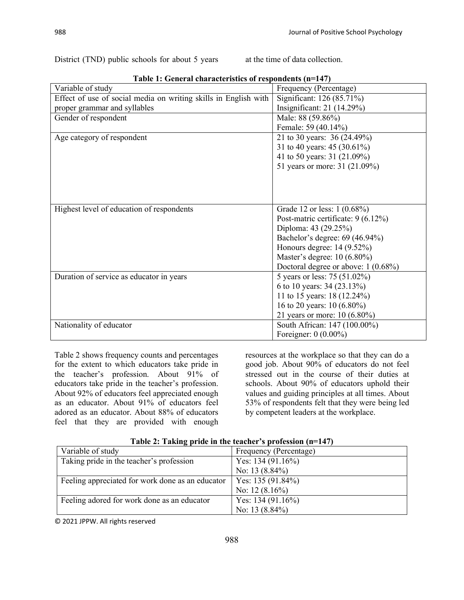District (TND) public schools for about 5 years at the time of data collection.

| Table 1: General characteristics of respondents (n=147)         |                                       |  |  |  |
|-----------------------------------------------------------------|---------------------------------------|--|--|--|
| Variable of study                                               | Frequency (Percentage)                |  |  |  |
| Effect of use of social media on writing skills in English with | Significant: 126 (85.71%)             |  |  |  |
| proper grammar and syllables                                    | Insignificant: $21(14.29%)$           |  |  |  |
| Gender of respondent                                            | Male: 88 (59.86%)                     |  |  |  |
|                                                                 | Female: 59 (40.14%)                   |  |  |  |
| Age category of respondent                                      | 21 to 30 years: 36 (24.49%)           |  |  |  |
|                                                                 | 31 to 40 years: 45 (30.61%)           |  |  |  |
|                                                                 | 41 to 50 years: 31 (21.09%)           |  |  |  |
|                                                                 | 51 years or more: 31 (21.09%)         |  |  |  |
|                                                                 |                                       |  |  |  |
|                                                                 |                                       |  |  |  |
|                                                                 |                                       |  |  |  |
| Highest level of education of respondents                       | Grade 12 or less: 1 (0.68%)           |  |  |  |
|                                                                 | Post-matric certificate: 9 (6.12%)    |  |  |  |
|                                                                 | Diploma: 43 (29.25%)                  |  |  |  |
|                                                                 | Bachelor's degree: 69 (46.94%)        |  |  |  |
|                                                                 | Honours degree: $14(9.52\%)$          |  |  |  |
|                                                                 | Master's degree: 10 (6.80%)           |  |  |  |
|                                                                 | Doctoral degree or above: $1(0.68\%)$ |  |  |  |
| Duration of service as educator in years                        | 5 years or less: 75 (51.02%)          |  |  |  |
|                                                                 | 6 to 10 years: 34 (23.13%)            |  |  |  |
|                                                                 | 11 to 15 years: 18 (12.24%)           |  |  |  |
|                                                                 | 16 to 20 years: 10 (6.80%)            |  |  |  |
|                                                                 | 21 years or more: 10 (6.80%)          |  |  |  |
| Nationality of educator                                         | South African: 147 (100.00%)          |  |  |  |
|                                                                 | Foreigner: $0(0.00\%)$                |  |  |  |

**Table 1: General characteristics of respondents (n=147)**

Table 2 shows frequency counts and percentages for the extent to which educators take pride in the teacher's profession. About 91% of educators take pride in the teacher's profession. About 92% of educators feel appreciated enough as an educator. About 91% of educators feel adored as an educator. About 88% of educators feel that they are provided with enough

resources at the workplace so that they can do a good job. About 90% of educators do not feel stressed out in the course of their duties at schools. About 90% of educators uphold their values and guiding principles at all times. About 53% of respondents felt that they were being led by competent leaders at the workplace.

| Variable of study                                | Frequency (Percentage) |
|--------------------------------------------------|------------------------|
| Taking pride in the teacher's profession         | Yes: $134(91.16%)$     |
|                                                  | No: 13 $(8.84\%)$      |
| Feeling appreciated for work done as an educator | Yes: $135(91.84\%)$    |
|                                                  | No: 12 $(8.16\%)$      |
| Feeling adored for work done as an educator      | Yes: $134(91.16%)$     |
|                                                  | No: 13 $(8.84\%)$      |

**Table 2: Taking pride in the teacher's profession (n=147)**

© 2021 JPPW. All rights reserved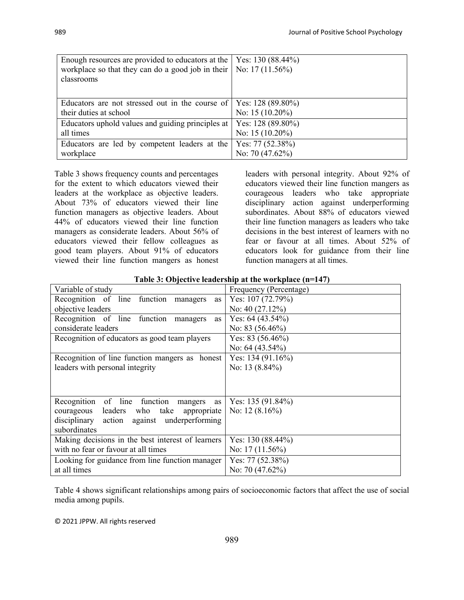| Enough resources are provided to educators at the | Yes: $130(88.44\%)$ |
|---------------------------------------------------|---------------------|
| workplace so that they can do a good job in their | No: $17(11.56\%)$   |
| classrooms                                        |                     |
|                                                   |                     |
|                                                   |                     |
| Educators are not stressed out in the course of   | Yes: $128(89.80\%)$ |
| their duties at school                            | No: $15(10.20\%)$   |
| Educators uphold values and guiding principles at | Yes: 128 (89.80%)   |
| all times                                         | No: $15(10.20\%)$   |
| Educators are led by competent leaders at the     | Yes: $77(52.38\%)$  |
| workplace                                         | No: 70 $(47.62\%)$  |

Table 3 shows frequency counts and percentages for the extent to which educators viewed their leaders at the workplace as objective leaders. About 73% of educators viewed their line function managers as objective leaders. About 44% of educators viewed their line function managers as considerate leaders. About 56% of educators viewed their fellow colleagues as good team players. About 91% of educators viewed their line function mangers as honest leaders with personal integrity. About 92% of educators viewed their line function mangers as courageous leaders who take appropriate disciplinary action against underperforming subordinates. About 88% of educators viewed their line function managers as leaders who take decisions in the best interest of learners with no fear or favour at all times. About 52% of educators look for guidance from their line function managers at all times.

| Variable of study                                     | Frequency (Percentage) |  |  |
|-------------------------------------------------------|------------------------|--|--|
| Recognition of line function managers<br>as           | Yes: $107(72.79%)$     |  |  |
| objective leaders                                     | No: $40(27.12%)$       |  |  |
| Recognition of line function<br>managers<br><b>as</b> | Yes: $64(43.54\%)$     |  |  |
| considerate leaders                                   | No: $83(56.46\%)$      |  |  |
| Recognition of educators as good team players         | Yes: $83(56.46\%)$     |  |  |
|                                                       | No: $64(43.54\%)$      |  |  |
| Recognition of line function mangers as honest        | Yes: $134(91.16%)$     |  |  |
| leaders with personal integrity                       | No: 13 $(8.84\%)$      |  |  |
|                                                       |                        |  |  |
|                                                       |                        |  |  |
| Recognition of line function mangers as               | Yes: $135(91.84%)$     |  |  |
| courageous leaders who take<br>appropriate            | No: $12(8.16\%)$       |  |  |
| disciplinary action against underperforming           |                        |  |  |
| subordinates                                          |                        |  |  |
| Making decisions in the best interest of learners     | Yes: $130(88.44\%)$    |  |  |
| with no fear or favour at all times                   | No: $17(11.56\%)$      |  |  |
| Looking for guidance from line function manager       | Yes: $77(52.38\%)$     |  |  |
| at all times                                          | No: 70 $(47.62\%)$     |  |  |

**Table 3: Objective leadership at the workplace (n=147)**

Table 4 shows significant relationships among pairs of socioeconomic factors that affect the use of social media among pupils.

© 2021 JPPW. All rights reserved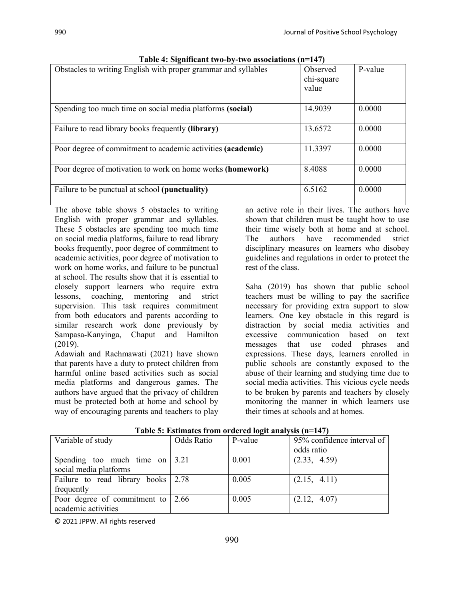| Obstacles to writing English with proper grammar and syllables | Observed<br>chi-square<br>value | P-value |
|----------------------------------------------------------------|---------------------------------|---------|
| Spending too much time on social media platforms (social)      | 14.9039                         | 0.0000  |
| Failure to read library books frequently (library)             | 13.6572                         | 0.0000  |
| Poor degree of commitment to academic activities (academic)    | 11.3397                         | 0.0000  |
| Poor degree of motivation to work on home works (homework)     | 8.4088                          | 0.0000  |
| Failure to be punctual at school (punctuality)                 | 6.5162                          | 0.0000  |

| Table 4: Significant two-by-two associations (n=147) |  |
|------------------------------------------------------|--|
|------------------------------------------------------|--|

The above table shows 5 obstacles to writing English with proper grammar and syllables. These 5 obstacles are spending too much time on social media platforms, failure to read library books frequently, poor degree of commitment to academic activities, poor degree of motivation to work on home works, and failure to be punctual at school. The results show that it is essential to closely support learners who require extra lessons, coaching, mentoring and strict supervision. This task requires commitment from both educators and parents according to similar research work done previously by Sampasa-Kanyinga, Chaput and Hamilton (2019).

Adawiah and Rachmawati (2021) have shown that parents have a duty to protect children from harmful online based activities such as social media platforms and dangerous games. The authors have argued that the privacy of children must be protected both at home and school by way of encouraging parents and teachers to play

an active role in their lives. The authors have shown that children must be taught how to use their time wisely both at home and at school. The authors have recommended strict disciplinary measures on learners who disobey guidelines and regulations in order to protect the rest of the class.

Saha (2019) has shown that public school teachers must be willing to pay the sacrifice necessary for providing extra support to slow learners. One key obstacle in this regard is distraction by social media activities and excessive communication based on text messages that use coded phrases and expressions. These days, learners enrolled in public schools are constantly exposed to the abuse of their learning and studying time due to social media activities. This vicious cycle needs to be broken by parents and teachers by closely monitoring the manner in which learners use their times at schools and at homes.

| Variable of study                               | <b>Odds Ratio</b> | P-value | 95% confidence interval of |
|-------------------------------------------------|-------------------|---------|----------------------------|
|                                                 |                   |         | odds ratio                 |
| Spending too much time on $\vert 3.21 \rangle$  |                   | 0.001   | (2.33, 4.59)               |
| social media platforms                          |                   |         |                            |
| Failure to read library books 2.78              |                   | 0.005   | (2.15, 4.11)               |
| frequently                                      |                   |         |                            |
| Poor degree of commitment to $\vert 2.66 \vert$ |                   | 0.005   | (2.12, 4.07)               |
| academic activities                             |                   |         |                            |

| Table 5: Estimates from ordered logit analysis (n=147) |  |  |  |
|--------------------------------------------------------|--|--|--|
|                                                        |  |  |  |

© 2021 JPPW. All rights reserved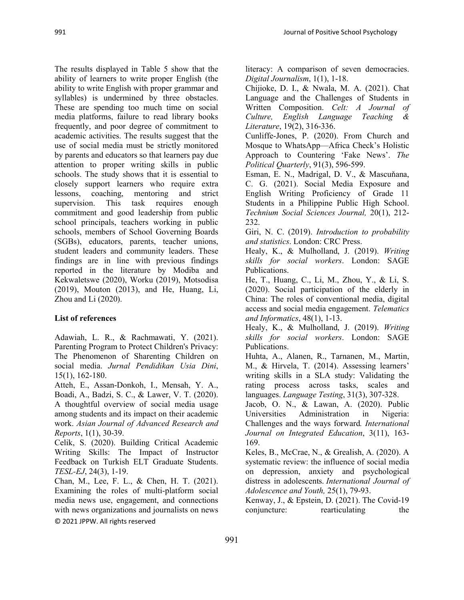The results displayed in Table 5 show that the ability of learners to write proper English (the ability to write English with proper grammar and syllables) is undermined by three obstacles. These are spending too much time on social media platforms, failure to read library books frequently, and poor degree of commitment to academic activities. The results suggest that the use of social media must be strictly monitored by parents and educators so that learners pay due attention to proper writing skills in public schools. The study shows that it is essential to closely support learners who require extra lessons, coaching, mentoring and strict supervision. This task requires enough commitment and good leadership from public school principals, teachers working in public schools, members of School Governing Boards (SGBs), educators, parents, teacher unions, student leaders and community leaders. These findings are in line with previous findings reported in the literature by Modiba and Kekwaletswe (2020), Worku (2019), Motsodisa (2019), Mouton (2013), and He, Huang, Li, Zhou and Li (2020).

## **List of references**

Adawiah, L. R., & Rachmawati, Y. (2021). Parenting Program to Protect Children's Privacy: The Phenomenon of Sharenting Children on social media. *Jurnal Pendidikan Usia Dini*, 15(1), 162-180.

Atteh, E., Assan-Donkoh, I., Mensah, Y. A., Boadi, A., Badzi, S. C., & Lawer, V. T. (2020). A thoughtful overview of social media usage among students and its impact on their academic work. *Asian Journal of Advanced Research and Reports*, 1(1), 30-39.

Celik, S. (2020). Building Critical Academic Writing Skills: The Impact of Instructor Feedback on Turkish ELT Graduate Students. *TESL-EJ*, 24(3), 1-19.

© 2021 JPPW. All rights reserved Chan, M., Lee, F. L., & Chen, H. T. (2021). Examining the roles of multi-platform social media news use, engagement, and connections with news organizations and journalists on news literacy: A comparison of seven democracies. *Digital Journalism*, 1(1), 1-18.

Chijioke, D. I., & Nwala, M. A. (2021). Chat Language and the Challenges of Students in Written Composition. *Celt: A Journal of Culture, English Language Teaching & Literature*, 19(2), 316-336.

Cunliffe‐Jones, P. (2020). From Church and Mosque to WhatsApp—Africa Check's Holistic Approach to Countering 'Fake News'. *The Political Quarterly*, 91(3), 596-599.

Esman, E. N., Madrigal, D. V., & Mascuňana, C. G. (2021). Social Media Exposure and English Writing Proficiency of Grade 11 Students in a Philippine Public High School. *Technium Social Sciences Journal,* 20(1), 212- 232.

Giri, N. C. (2019). *Introduction to probability and statistics*. London: CRC Press.

Healy, K., & Mulholland, J. (2019). *Writing skills for social workers*. London: SAGE Publications.

He, T., Huang, C., Li, M., Zhou, Y., & Li, S. (2020). Social participation of the elderly in China: The roles of conventional media, digital access and social media engagement. *Telematics and Informatics*, 48(1), 1-13.

Healy, K., & Mulholland, J. (2019). *Writing skills for social workers*. London: SAGE Publications.

Huhta, A., Alanen, R., Tarnanen, M., Martin, M., & Hirvela, T. (2014). Assessing learners' writing skills in a SLA study: Validating the rating process across tasks, scales and languages. *Language Testing*, 31(3), 307-328.

Jacob, O. N., & Lawan, A. (2020). Public Universities Administration in Nigeria: Challenges and the ways forward*. International Journal on Integrated Education*, 3(11), 163- 169.

Keles, B., McCrae, N., & Grealish, A. (2020). A systematic review: the influence of social media on depression, anxiety and psychological distress in adolescents. *International Journal of Adolescence and Youth,* 25(1), 79-93.

Kenway, J., & Epstein, D. (2021). The Covid-19 conjuncture: rearticulating the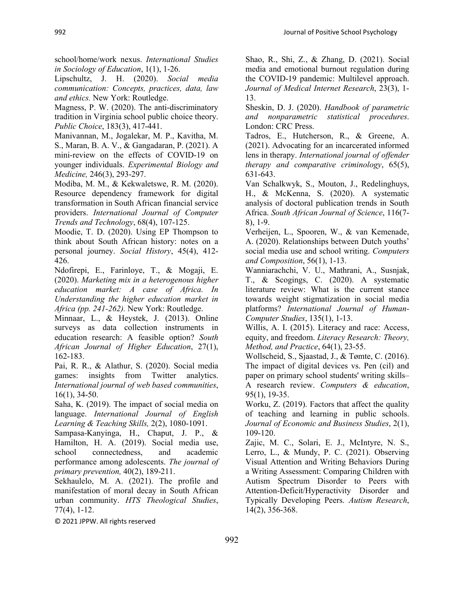school/home/work nexus. *International Studies in Sociology of Education*, 1(1), 1-26.

Lipschultz, J. H. (2020). *Social media communication: Concepts, practices, data, law and ethics.* New York: Routledge.

Magness, P. W. (2020). The anti-discriminatory tradition in Virginia school public choice theory. *Public Choice*, 183(3), 417-441.

Manivannan, M., Jogalekar, M. P., Kavitha, M. S., Maran, B. A. V., & Gangadaran, P. (2021). A mini-review on the effects of COVID-19 on younger individuals. *Experimental Biology and Medicine,* 246(3), 293-297.

Modiba, M. M., & Kekwaletswe, R. M. (2020). Resource dependency framework for digital transformation in South African financial service providers. *International Journal of Computer Trends and Technology*, 68(4), 107-125.

Moodie, T. D. (2020). Using EP Thompson to think about South African history: notes on a personal journey. *Social History*, 45(4), 412- 426.

Ndofirepi, E., Farinloye, T., & Mogaji, E. (2020). *Marketing mix in a heterogenous higher education market: A case of Africa. In Understanding the higher education market in Africa (pp. 241-262).* New York: Routledge.

Minnaar, L., & Heystek, J. (2013). Online surveys as data collection instruments in education research: A feasible option? *South African Journal of Higher Education*, 27(1), 162-183.

Pai, R. R., & Alathur, S. (2020). Social media games: insights from Twitter analytics. *International journal of web based communities*, 16(1), 34-50.

Saha, K. (2019). The impact of social media on language. *International Journal of English Learning & Teaching Skills,* 2(2), 1080-1091.

Sampasa-Kanyinga, H., Chaput, J. P., & Hamilton, H. A. (2019). Social media use, school connectedness, and academic performance among adolescents. *The journal of primary prevention,* 40(2), 189-211.

Sekhaulelo, M. A. (2021). The profile and manifestation of moral decay in South African urban community. *HTS Theological Studies*, 77(4), 1-12.

© 2021 JPPW. All rights reserved

Shao, R., Shi, Z., & Zhang, D. (2021). Social media and emotional burnout regulation during the COVID-19 pandemic: Multilevel approach. *Journal of Medical Internet Research*, 23(3), 1- 13.

Sheskin, D. J. (2020). *Handbook of parametric and nonparametric statistical procedures*. London: CRC Press.

Tadros, E., Hutcherson, R., & Greene, A. (2021). Advocating for an incarcerated informed lens in therapy. *International journal of offender therapy and comparative criminology*, 65(5), 631-643.

Van Schalkwyk, S., Mouton, J., Redelinghuys, H., & McKenna, S. (2020). A systematic analysis of doctoral publication trends in South Africa. *South African Journal of Science*, 116(7- 8), 1-9.

Verheijen, L., Spooren, W., & van Kemenade, A. (2020). Relationships between Dutch youths' social media use and school writing. *Computers and Composition*, 56(1), 1-13.

Wanniarachchi, V. U., Mathrani, A., Susnjak, T., & Scogings, C. (2020). A systematic literature review: What is the current stance towards weight stigmatization in social media platforms? *International Journal of Human-Computer Studies*, 135(1), 1-13.

Willis, A. I. (2015). Literacy and race: Access, equity, and freedom. *Literacy Research: Theory, Method, and Practice*, 64(1), 23-55.

Wollscheid, S., Sjaastad, J., & Tømte, C. (2016). The impact of digital devices vs. Pen (cil) and paper on primary school students' writing skills– A research review. *Computers & education*, 95(1), 19-35.

Worku, Z. (2019). Factors that affect the quality of teaching and learning in public schools. *Journal of Economic and Business Studies*, 2(1), 109-120.

Zajic, M. C., Solari, E. J., McIntyre, N. S., Lerro, L., & Mundy, P. C. (2021). Observing Visual Attention and Writing Behaviors During a Writing Assessment: Comparing Children with Autism Spectrum Disorder to Peers with Attention‐Deficit/Hyperactivity Disorder and Typically Developing Peers. *Autism Research*, 14(2), 356-368.